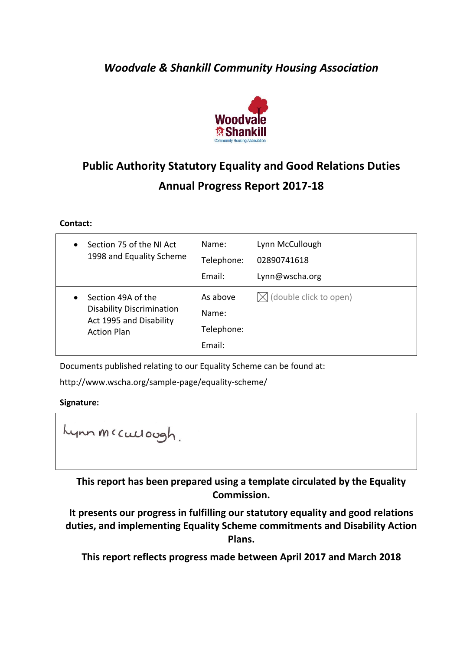## *Woodvale & Shankill Community Housing Association*



# **Public Authority Statutory Equality and Good Relations Duties Annual Progress Report 2017-18**

**Contact:**

| Section 75 of the NI Act                                                                                             | Name:                                     | Lynn McCullough                  |
|----------------------------------------------------------------------------------------------------------------------|-------------------------------------------|----------------------------------|
| $\bullet$                                                                                                            | Telephone:                                | 02890741618                      |
| 1998 and Equality Scheme                                                                                             | Email:                                    | Lynn@wscha.org                   |
| Section 49A of the<br>$\bullet$<br><b>Disability Discrimination</b><br>Act 1995 and Disability<br><b>Action Plan</b> | As above<br>Name:<br>Telephone:<br>Email: | $\bowtie$ (double click to open) |

Documents published relating to our Equality Scheme can be found at:

http://www.wscha.org/sample-page/equality-scheme/

#### **Signature:**

Lynn meculough.

**This report has been prepared using a template circulated by the Equality Commission.** 

**It presents our progress in fulfilling our statutory equality and good relations duties, and implementing Equality Scheme commitments and Disability Action Plans.**

**This report reflects progress made between April 2017 and March 2018**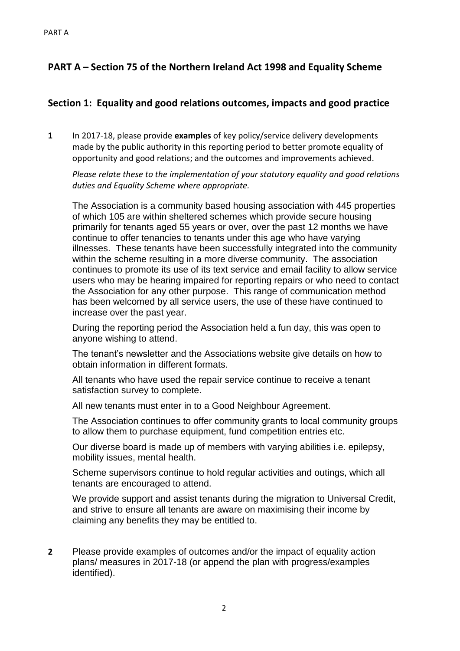### **PART A – Section 75 of the Northern Ireland Act 1998 and Equality Scheme**

### **Section 1: Equality and good relations outcomes, impacts and good practice**

**1** In 2017-18, please provide **examples** of key policy/service delivery developments made by the public authority in this reporting period to better promote equality of opportunity and good relations; and the outcomes and improvements achieved.

*Please relate these to the implementation of your statutory equality and good relations duties and Equality Scheme where appropriate.*

The Association is a community based housing association with 445 properties of which 105 are within sheltered schemes which provide secure housing primarily for tenants aged 55 years or over, over the past 12 months we have continue to offer tenancies to tenants under this age who have varying illnesses. These tenants have been successfully integrated into the community within the scheme resulting in a more diverse community. The association continues to promote its use of its text service and email facility to allow service users who may be hearing impaired for reporting repairs or who need to contact the Association for any other purpose. This range of communication method has been welcomed by all service users, the use of these have continued to increase over the past year.

During the reporting period the Association held a fun day, this was open to anyone wishing to attend.

The tenant's newsletter and the Associations website give details on how to obtain information in different formats.

All tenants who have used the repair service continue to receive a tenant satisfaction survey to complete.

All new tenants must enter in to a Good Neighbour Agreement.

The Association continues to offer community grants to local community groups to allow them to purchase equipment, fund competition entries etc.

Our diverse board is made up of members with varying abilities i.e. epilepsy, mobility issues, mental health.

Scheme supervisors continue to hold regular activities and outings, which all tenants are encouraged to attend.

We provide support and assist tenants during the migration to Universal Credit, and strive to ensure all tenants are aware on maximising their income by claiming any benefits they may be entitled to.

**2** Please provide examples of outcomes and/or the impact of equality action plans/ measures in 2017-18 (or append the plan with progress/examples identified).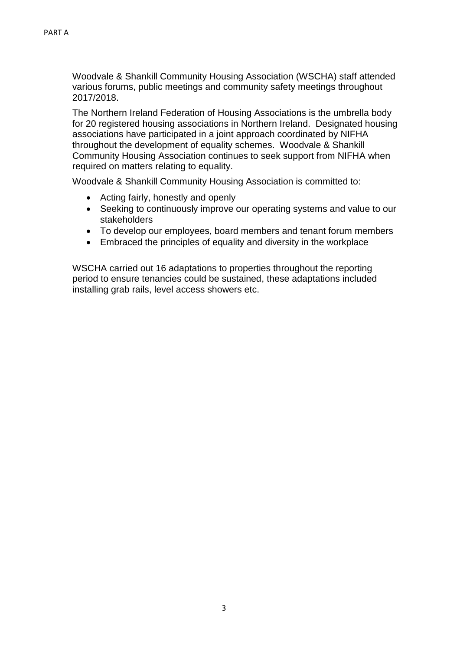Woodvale & Shankill Community Housing Association (WSCHA) staff attended various forums, public meetings and community safety meetings throughout 2017/2018.

The Northern Ireland Federation of Housing Associations is the umbrella body for 20 registered housing associations in Northern Ireland. Designated housing associations have participated in a joint approach coordinated by NIFHA throughout the development of equality schemes. Woodvale & Shankill Community Housing Association continues to seek support from NIFHA when required on matters relating to equality.

Woodvale & Shankill Community Housing Association is committed to:

- Acting fairly, honestly and openly
- Seeking to continuously improve our operating systems and value to our stakeholders
- To develop our employees, board members and tenant forum members
- Embraced the principles of equality and diversity in the workplace

WSCHA carried out 16 adaptations to properties throughout the reporting period to ensure tenancies could be sustained, these adaptations included installing grab rails, level access showers etc.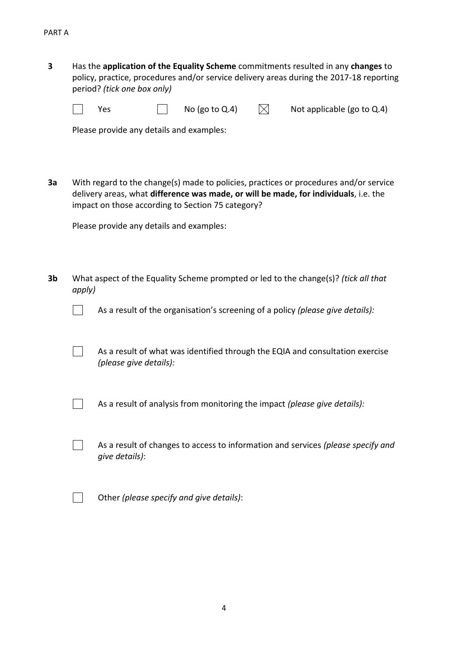**3** Has the **application of the Equality Scheme** commitments resulted in any **changes** to policy, practice, procedures and/or service delivery areas during the 2017-18 reporting period? *(tick one box only)*

Yes  $\Box$  No (go to Q.4)  $\Box$  Not applicable (go to Q.4)

Please provide any details and examples:

**3a** With regard to the change(s) made to policies, practices or procedures and/or service delivery areas, what **difference was made, or will be made, for individuals**, i.e. the impact on those according to Section 75 category?

Please provide any details and examples:

**3b** What aspect of the Equality Scheme prompted or led to the change(s)? *(tick all that apply)*



As a result of the organisation's screening of a policy *(please give details):*

As a result of what was identified through the EQIA and consultation exercise *(please give details):*

As a result of analysis from monitoring the impact *(please give details):*

As a result of changes to access to information and services *(please specify and give details)*:



 $\Box$ 

 $\Box$ 

Other *(please specify and give details)*: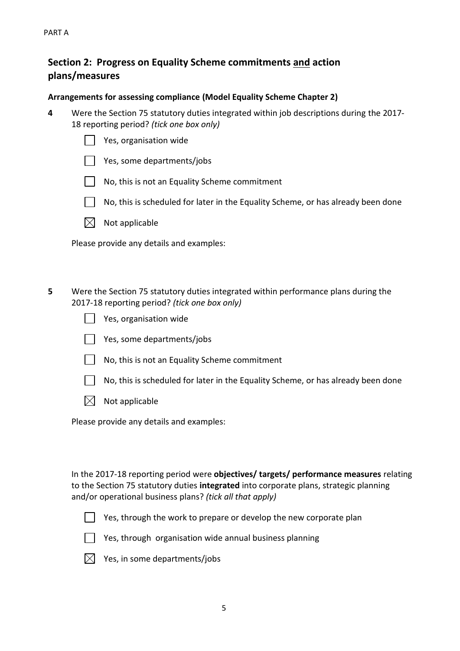### **Section 2: Progress on Equality Scheme commitments and action plans/measures**

#### **Arrangements for assessing compliance (Model Equality Scheme Chapter 2)**

- **4** Were the Section 75 statutory duties integrated within job descriptions during the 2017- 18 reporting period? *(tick one box only)*
	- Yes, organisation wide
	- | Pes, some departments/jobs
	- $\vert \ \vert$  No, this is not an Equality Scheme commitment
	- $\vert$  No, this is scheduled for later in the Equality Scheme, or has already been done
	- $\boxtimes$  Not applicable

Please provide any details and examples:

- **5** Were the Section 75 statutory duties integrated within performance plans during the 2017-18 reporting period? *(tick one box only)*
	- Yes, organisation wide
	- Yes, some departments/jobs
	- $\vert \ \vert$  No, this is not an Equality Scheme commitment
	- No, this is scheduled for later in the Equality Scheme, or has already been done
	- $\boxtimes$  Not applicable

Please provide any details and examples:

In the 2017-18 reporting period were **objectives/ targets/ performance measures** relating to the Section 75 statutory duties **integrated** into corporate plans, strategic planning and/or operational business plans? *(tick all that apply)*



Yes, through the work to prepare or develop the new corporate plan



 $\Box$  Yes, through organisation wide annual business planning



 $\boxtimes$  Yes, in some departments/jobs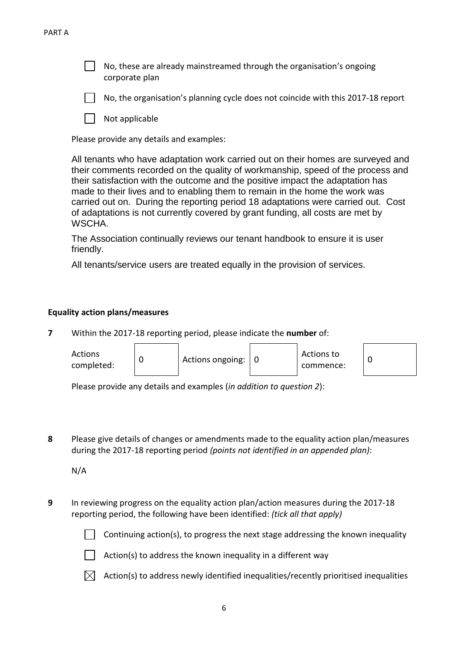No, these are already mainstreamed through the organisation's ongoing corporate plan



No, the organisation's planning cycle does not coincide with this 2017-18 report

Not applicable

Please provide any details and examples:

All tenants who have adaptation work carried out on their homes are surveyed and their comments recorded on the quality of workmanship, speed of the process and their satisfaction with the outcome and the positive impact the adaptation has made to their lives and to enabling them to remain in the home the work was carried out on. During the reporting period 18 adaptations were carried out. Cost of adaptations is not currently covered by grant funding, all costs are met by WSCHA.

The Association continually reviews our tenant handbook to ensure it is user friendly.

All tenants/service users are treated equally in the provision of services.

#### **Equality action plans/measures**

**7** Within the 2017-18 reporting period, please indicate the **number** of:



Please provide any details and examples (*in addition to question 2*):

**8** Please give details of changes or amendments made to the equality action plan/measures during the 2017-18 reporting period *(points not identified in an appended plan)*:

N/A

**9** In reviewing progress on the equality action plan/action measures during the 2017-18 reporting period, the following have been identified: *(tick all that apply)*

Continuing action(s), to progress the next stage addressing the known inequality



 $\parallel$  Action(s) to address the known inequality in a different way



 $\boxtimes$  Action(s) to address newly identified inequalities/recently prioritised inequalities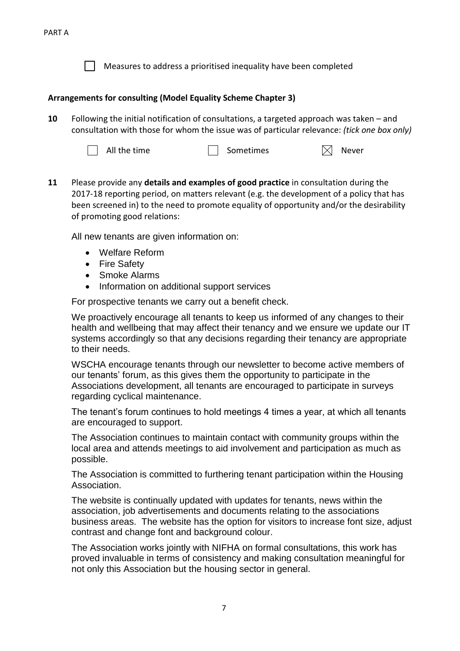

Measures to address a prioritised inequality have been completed

### **Arrangements for consulting (Model Equality Scheme Chapter 3)**

**10** Following the initial notification of consultations, a targeted approach was taken – and consultation with those for whom the issue was of particular relevance: *(tick one box only)*



All the time  $\Box$  Sometimes  $\boxtimes$  Never

**11** Please provide any **details and examples of good practice** in consultation during the 2017-18 reporting period, on matters relevant (e.g. the development of a policy that has been screened in) to the need to promote equality of opportunity and/or the desirability of promoting good relations:

All new tenants are given information on:

- Welfare Reform
- Fire Safety
- Smoke Alarms
- Information on additional support services

For prospective tenants we carry out a benefit check.

We proactively encourage all tenants to keep us informed of any changes to their health and wellbeing that may affect their tenancy and we ensure we update our IT systems accordingly so that any decisions regarding their tenancy are appropriate to their needs.

WSCHA encourage tenants through our newsletter to become active members of our tenants' forum, as this gives them the opportunity to participate in the Associations development, all tenants are encouraged to participate in surveys regarding cyclical maintenance.

The tenant's forum continues to hold meetings 4 times a year, at which all tenants are encouraged to support.

The Association continues to maintain contact with community groups within the local area and attends meetings to aid involvement and participation as much as possible.

The Association is committed to furthering tenant participation within the Housing Association.

The website is continually updated with updates for tenants, news within the association, job advertisements and documents relating to the associations business areas. The website has the option for visitors to increase font size, adjust contrast and change font and background colour.

The Association works jointly with NIFHA on formal consultations, this work has proved invaluable in terms of consistency and making consultation meaningful for not only this Association but the housing sector in general.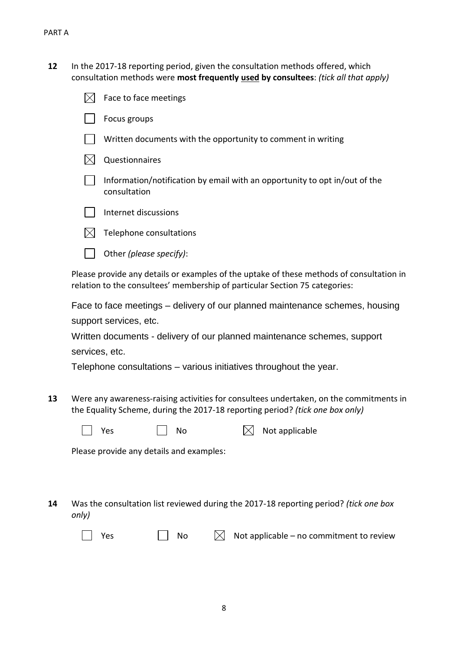**12** In the 2017-18 reporting period, given the consultation methods offered, which consultation methods were **most frequently used by consultees**: *(tick all that apply)*

| Face to face meetings                                                                                          |
|----------------------------------------------------------------------------------------------------------------|
| Focus groups                                                                                                   |
| Written documents with the opportunity to comment in writing                                                   |
| Questionnaires                                                                                                 |
| Information/notification by email with an opportunity to opt in/out of the<br>consultation                     |
| Internet discussions                                                                                           |
| Telephone consultations                                                                                        |
| Other (please specify):                                                                                        |
| dos a a constitución de la diferencia de la constitución de la conflictación en la constitución de la constitu |

Please provide any details or examples of the uptake of these methods of consultation in relation to the consultees' membership of particular Section 75 categories:

Face to face meetings – delivery of our planned maintenance schemes, housing support services, etc.

Written documents - delivery of our planned maintenance schemes, support services, etc.

Telephone consultations – various initiatives throughout the year.

**13** Were any awareness-raising activities for consultees undertaken, on the commitments in the Equality Scheme, during the 2017-18 reporting period? *(tick one box only)*

| res |  |  |
|-----|--|--|
|     |  |  |

Yes  $\Box$  No  $\boxtimes$  Not applicable

Please provide any details and examples:

**14** Was the consultation list reviewed during the 2017-18 reporting period? *(tick one box only)*

|--|--|

No  $\bowtie$  Not applicable – no commitment to review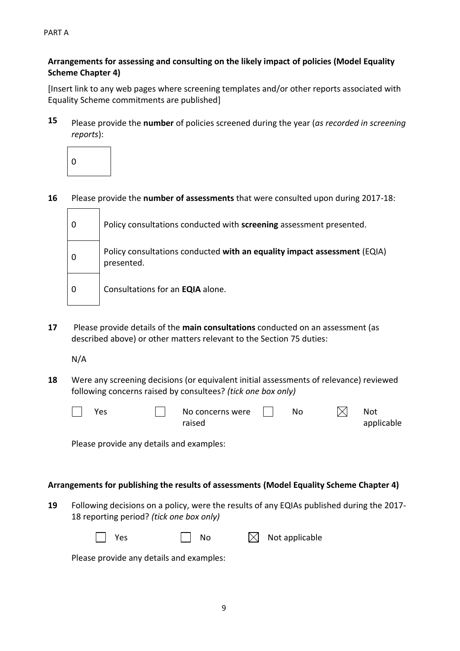9

PART A

### **Arrangements for assessing and consulting on the likely impact of policies (Model Equality Scheme Chapter 4)**

[Insert link to any web pages where screening templates and/or other reports associated with Equality Scheme commitments are published]

**15** Please provide the **number** of policies screened during the year (*as recorded in screening reports*):



**16** Please provide the **number of assessments** that were consulted upon during 2017-18:

| Policy consultations conducted with screening assessment presented.                    |
|----------------------------------------------------------------------------------------|
| Policy consultations conducted with an equality impact assessment (EQIA)<br>presented. |
| Consultations for an EQIA alone.                                                       |

**17** Please provide details of the **main consultations** conducted on an assessment (as described above) or other matters relevant to the Section 75 duties:

N/A

**18** Were any screening decisions (or equivalent initial assessments of relevance) reviewed following concerns raised by consultees? *(tick one box only)*

| Yes | No concerns were | No | Not        |
|-----|------------------|----|------------|
|     | raised           |    | applicable |

Please provide any details and examples:

### **Arrangements for publishing the results of assessments (Model Equality Scheme Chapter 4)**

**19** Following decisions on a policy, were the results of any EQIAs published during the 2017- 18 reporting period? *(tick one box only)*

| $\Box$ No<br>Yes | $\boxtimes$ Not applicable |
|------------------|----------------------------|
|------------------|----------------------------|

Please provide any details and examples: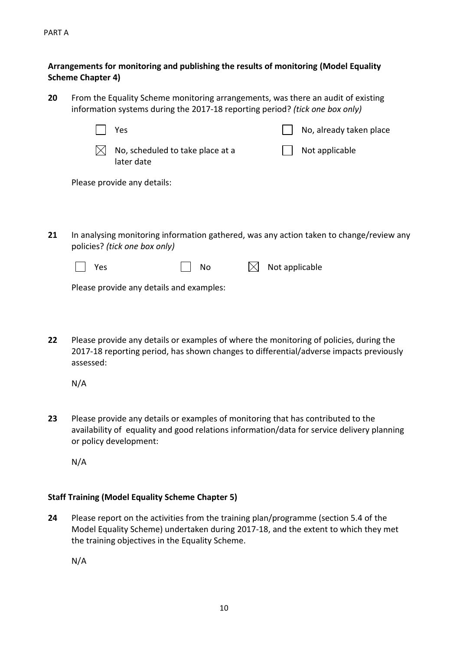PART A

 $\mathbf{L}$ 

### **Arrangements for monitoring and publishing the results of monitoring (Model Equality Scheme Chapter 4)**

- **20** From the Equality Scheme monitoring arrangements, was there an audit of existing information systems during the 2017-18 reporting period? *(tick one box only)*
	- $\boxtimes$  No, scheduled to take place at a later date Not applicable Please provide any details:

Yes No, already taken place

**21** In analysing monitoring information gathered, was any action taken to change/review any policies? *(tick one box only)*

Please provide any details and examples:

**22** Please provide any details or examples of where the monitoring of policies, during the 2017-18 reporting period, has shown changes to differential/adverse impacts previously assessed:

N/A

**23** Please provide any details or examples of monitoring that has contributed to the availability of equality and good relations information/data for service delivery planning or policy development:

N/A

### **Staff Training (Model Equality Scheme Chapter 5)**

**24** Please report on the activities from the training plan/programme (section 5.4 of the Model Equality Scheme) undertaken during 2017-18, and the extent to which they met the training objectives in the Equality Scheme.

N/A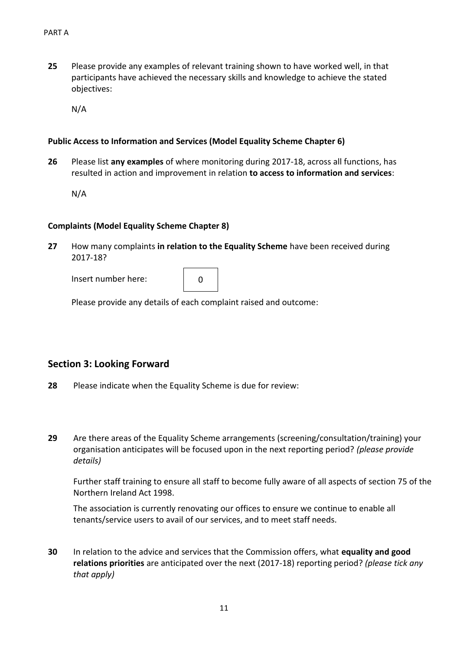**25** Please provide any examples of relevant training shown to have worked well, in that participants have achieved the necessary skills and knowledge to achieve the stated objectives:

N/A

#### **Public Access to Information and Services (Model Equality Scheme Chapter 6)**

**26** Please list **any examples** of where monitoring during 2017-18, across all functions, has resulted in action and improvement in relation **to access to information and services**:

N/A

#### **Complaints (Model Equality Scheme Chapter 8)**

**27** How many complaints **in relation to the Equality Scheme** have been received during 2017-18?

Insert number here:

|--|

Please provide any details of each complaint raised and outcome:

### **Section 3: Looking Forward**

- **28** Please indicate when the Equality Scheme is due for review:
- **29** Are there areas of the Equality Scheme arrangements (screening/consultation/training) your organisation anticipates will be focused upon in the next reporting period? *(please provide details)*

Further staff training to ensure all staff to become fully aware of all aspects of section 75 of the Northern Ireland Act 1998.

The association is currently renovating our offices to ensure we continue to enable all tenants/service users to avail of our services, and to meet staff needs.

**30** In relation to the advice and services that the Commission offers, what **equality and good relations priorities** are anticipated over the next (2017-18) reporting period? *(please tick any that apply)*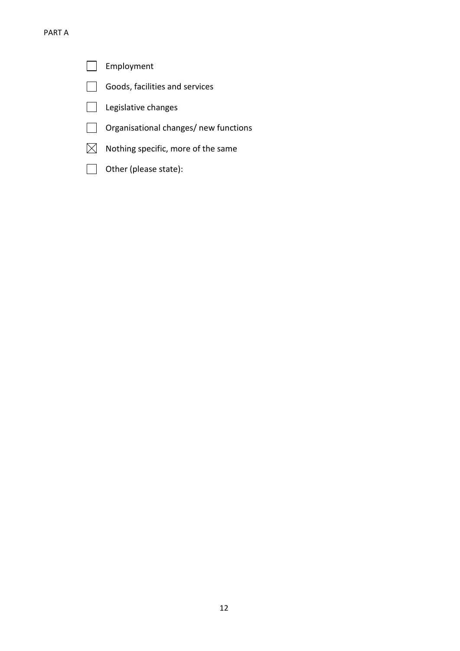Employment  $\overline{\phantom{a}}$ 

Г

- Goods, facilities and services  $\Box$
- Legislative changes  $\Box$
- $\Box$ Organisational changes/ new functions
- $\boxtimes$  Nothing specific, more of the same
- Other (please state):  $\Box$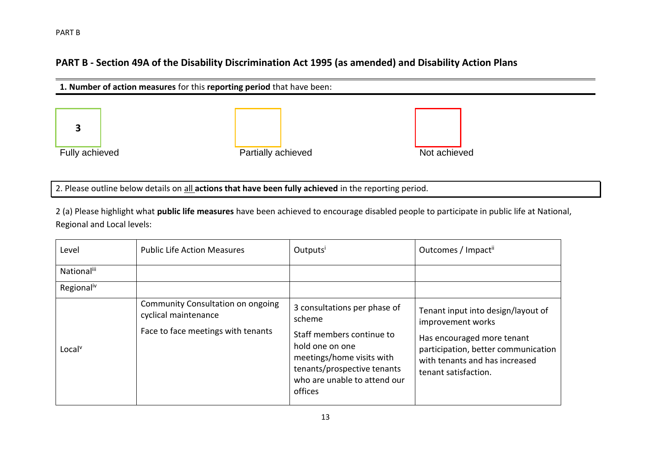### **PART B - Section 49A of the Disability Discrimination Act 1995 (as amended) and Disability Action Plans**



2. Please outline below details on all **actions that have been fully achieved** in the reporting period.

2 (a) Please highlight what **public life measures** have been achieved to encourage disabled people to participate in public life at National, Regional and Local levels:

| Level                  | <b>Public Life Action Measures</b>                                                                     | Outputs                                                                                                                                                                                       | Outcomes / Impact <sup>ii</sup>                                                                                                                                                        |
|------------------------|--------------------------------------------------------------------------------------------------------|-----------------------------------------------------------------------------------------------------------------------------------------------------------------------------------------------|----------------------------------------------------------------------------------------------------------------------------------------------------------------------------------------|
| Nationaliii            |                                                                                                        |                                                                                                                                                                                               |                                                                                                                                                                                        |
| Regional <sup>iv</sup> |                                                                                                        |                                                                                                                                                                                               |                                                                                                                                                                                        |
| Local <sup>v</sup>     | <b>Community Consultation on ongoing</b><br>cyclical maintenance<br>Face to face meetings with tenants | 3 consultations per phase of<br>scheme<br>Staff members continue to<br>hold one on one<br>meetings/home visits with<br>tenants/prospective tenants<br>who are unable to attend our<br>offices | Tenant input into design/layout of<br>improvement works<br>Has encouraged more tenant<br>participation, better communication<br>with tenants and has increased<br>tenant satisfaction. |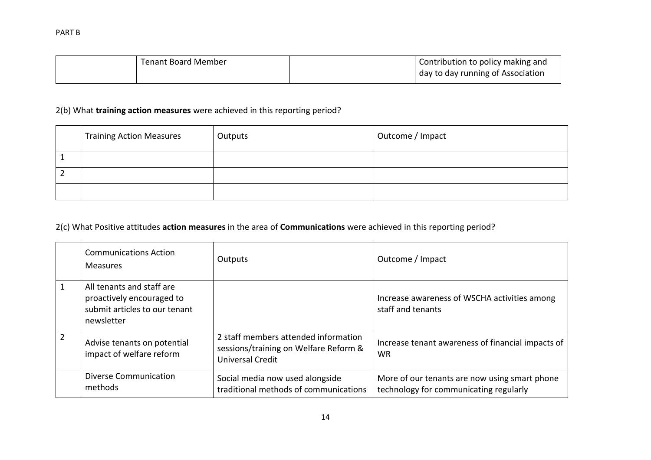| <b>Tenant Board Member</b> | Contribution to policy making and |
|----------------------------|-----------------------------------|
|                            | day to day running of Association |

### 2(b) What **training action measures** were achieved in this reporting period?

| <b>Training Action Measures</b> | Outputs | Outcome / Impact |
|---------------------------------|---------|------------------|
|                                 |         |                  |
|                                 |         |                  |
|                                 |         |                  |

### 2(c) What Positive attitudes **action measures** in the area of **Communications** were achieved in this reporting period?

| <b>Communications Action</b><br><b>Measures</b>                                                       | Outputs                                                                                                  | Outcome / Impact                                                                        |
|-------------------------------------------------------------------------------------------------------|----------------------------------------------------------------------------------------------------------|-----------------------------------------------------------------------------------------|
| All tenants and staff are<br>proactively encouraged to<br>submit articles to our tenant<br>newsletter |                                                                                                          | Increase awareness of WSCHA activities among<br>staff and tenants                       |
| Advise tenants on potential<br>impact of welfare reform                                               | 2 staff members attended information<br>sessions/training on Welfare Reform &<br><b>Universal Credit</b> | Increase tenant awareness of financial impacts of<br><b>WR</b>                          |
| <b>Diverse Communication</b><br>methods                                                               | Social media now used alongside<br>traditional methods of communications                                 | More of our tenants are now using smart phone<br>technology for communicating regularly |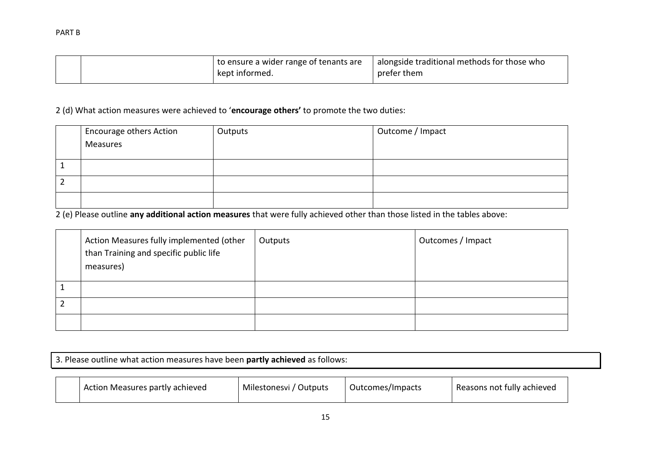|  | to ensure a wider range of tenants are | alongside traditional methods for those who |
|--|----------------------------------------|---------------------------------------------|
|  | kept informed.                         | prefer them                                 |

2 (d) What action measures were achieved to '**encourage others'** to promote the two duties:

| <sup>1</sup> Encourage others Action<br>Measures | Outputs | Outcome / Impact |
|--------------------------------------------------|---------|------------------|
|                                                  |         |                  |
|                                                  |         |                  |
|                                                  |         |                  |

2 (e) Please outline **any additional action measures** that were fully achieved other than those listed in the tables above:

| Action Measures fully implemented (other<br>than Training and specific public life<br>measures) | Outputs | Outcomes / Impact |
|-------------------------------------------------------------------------------------------------|---------|-------------------|
|                                                                                                 |         |                   |
|                                                                                                 |         |                   |
|                                                                                                 |         |                   |

| 3. Please outline what action measures have been partly achieved as follows: |                                                                                                             |  |  |  |  |  |
|------------------------------------------------------------------------------|-------------------------------------------------------------------------------------------------------------|--|--|--|--|--|
|                                                                              | Action Measures partly achieved<br>Reasons not fully achieved<br>Milestonesvi / Outputs<br>Outcomes/Impacts |  |  |  |  |  |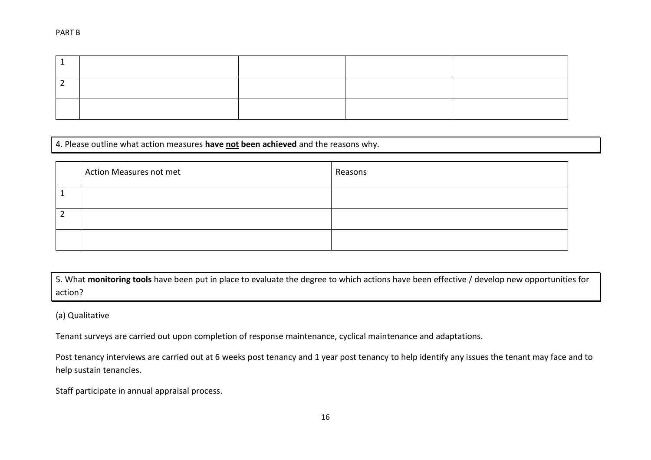#### 4. Please outline what action measures **have not been achieved** and the reasons why.

| Action Measures not met | Reasons |
|-------------------------|---------|
|                         |         |
|                         |         |
|                         |         |

5. What **monitoring tools** have been put in place to evaluate the degree to which actions have been effective / develop new opportunities for action?

#### (a) Qualitative

Tenant surveys are carried out upon completion of response maintenance, cyclical maintenance and adaptations.

Post tenancy interviews are carried out at 6 weeks post tenancy and 1 year post tenancy to help identify any issues the tenant may face and to help sustain tenancies.

Staff participate in annual appraisal process.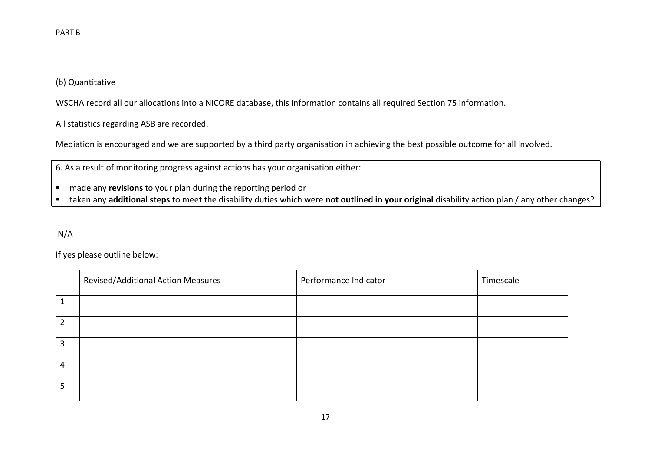### (b) Quantitative

WSCHA record all our allocations into a NICORE database, this information contains all required Section 75 information.

All statistics regarding ASB are recorded.

Mediation is encouraged and we are supported by a third party organisation in achieving the best possible outcome for all involved.

6. As a result of monitoring progress against actions has your organisation either:

- made any **revisions** to your plan during the reporting period or
- taken any **additional steps** to meet the disability duties which were **not outlined in your original** disability action plan / any other changes?

N/A

If yes please outline below:

|   | Revised/Additional Action Measures | Performance Indicator | Timescale |
|---|------------------------------------|-----------------------|-----------|
|   |                                    |                       |           |
|   |                                    |                       |           |
| 2 |                                    |                       |           |
| 4 |                                    |                       |           |
| 5 |                                    |                       |           |